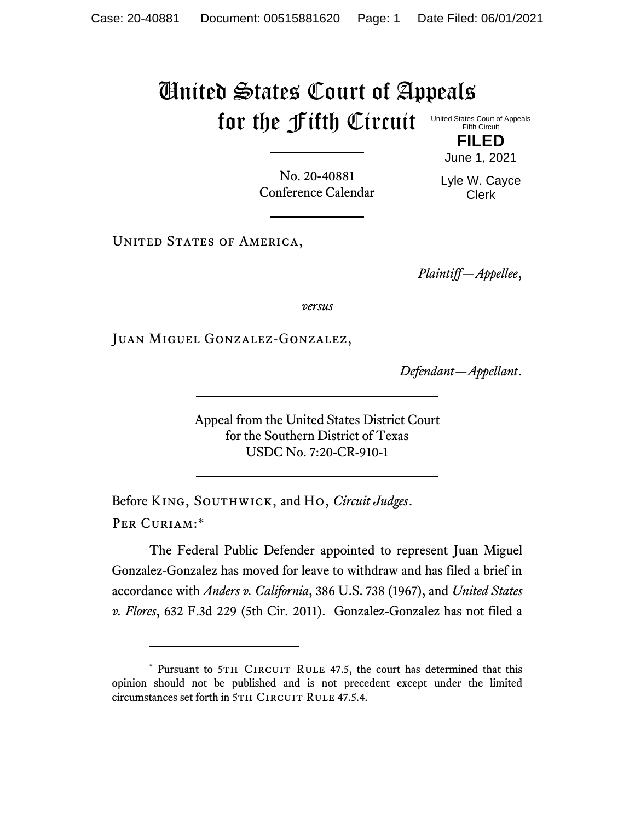## United States Court of Appeals for the Fifth Circuit United States Court of Appeals Fifth Circuit

No. 20-40881 Conference Calendar

**FILED** June 1, 2021

Lyle W. Cayce Clerk

UNITED STATES OF AMERICA,

*Plaintiff—Appellee*,

*versus*

Juan Miguel Gonzalez-Gonzalez,

*Defendant—Appellant*.

Appeal from the United States District Court for the Southern District of Texas USDC No. 7:20-CR-910-1

Before King, Southwick, and Ho, *Circuit Judges*. Per Curiam:\*

The Federal Public Defender appointed to represent Juan Miguel Gonzalez-Gonzalez has moved for leave to withdraw and has filed a brief in accordance with *Anders v. California*, 386 U.S. 738 (1967), and *United States v. Flores*, 632 F.3d 229 (5th Cir. 2011). Gonzalez-Gonzalez has not filed a

<sup>\*</sup> Pursuant to 5TH CIRCUIT RULE 47.5, the court has determined that this opinion should not be published and is not precedent except under the limited circumstances set forth in 5TH CIRCUIT RULE 47.5.4.